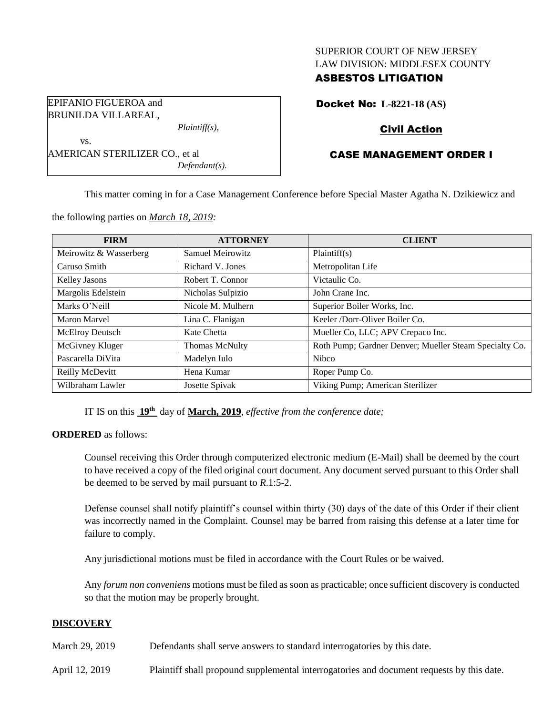## SUPERIOR COURT OF NEW JERSEY LAW DIVISION: MIDDLESEX COUNTY

## ASBESTOS LITIGATION

Docket No: **L-8221-18 (AS)**

# Civil Action

# CASE MANAGEMENT ORDER I

This matter coming in for a Case Management Conference before Special Master Agatha N. Dzikiewicz and

| <b>FIRM</b>            | <b>ATTORNEY</b>   | <b>CLIENT</b>                                          |
|------------------------|-------------------|--------------------------------------------------------|
| Meirowitz & Wasserberg | Samuel Meirowitz  | Plaintiff(s)                                           |
| Caruso Smith           | Richard V. Jones  | Metropolitan Life                                      |
| Kelley Jasons          | Robert T. Connor  | Victaulic Co.                                          |
| Margolis Edelstein     | Nicholas Sulpizio | John Crane Inc.                                        |
| Marks O'Neill          | Nicole M. Mulhern | Superior Boiler Works, Inc.                            |
| Maron Marvel           | Lina C. Flanigan  | Keeler /Dorr-Oliver Boiler Co.                         |
| McElroy Deutsch        | Kate Chetta       | Mueller Co, LLC; APV Crepaco Inc.                      |
| McGivney Kluger        | Thomas McNulty    | Roth Pump; Gardner Denver; Mueller Steam Specialty Co. |
| Pascarella DiVita      | Madelyn Iulo      | <b>Nibco</b>                                           |
| Reilly McDevitt        | Hena Kumar        | Roper Pump Co.                                         |
| Wilbraham Lawler       | Josette Spivak    | Viking Pump; American Sterilizer                       |

the following parties on *March 18, 2019:*

AMERICAN STERILIZER CO., et al

*Plaintiff(s),*

*Defendant(s).*

EPIFANIO FIGUEROA and BRUNILDA VILLAREAL,

vs.

IT IS on this **19th** day of **March, 2019**, *effective from the conference date;*

#### **ORDERED** as follows:

Counsel receiving this Order through computerized electronic medium (E-Mail) shall be deemed by the court to have received a copy of the filed original court document. Any document served pursuant to this Order shall be deemed to be served by mail pursuant to *R*.1:5-2.

Defense counsel shall notify plaintiff's counsel within thirty (30) days of the date of this Order if their client was incorrectly named in the Complaint. Counsel may be barred from raising this defense at a later time for failure to comply.

Any jurisdictional motions must be filed in accordance with the Court Rules or be waived.

Any *forum non conveniens* motions must be filed as soon as practicable; once sufficient discovery is conducted so that the motion may be properly brought.

## **DISCOVERY**

March 29, 2019 Defendants shall serve answers to standard interrogatories by this date.

April 12, 2019 Plaintiff shall propound supplemental interrogatories and document requests by this date.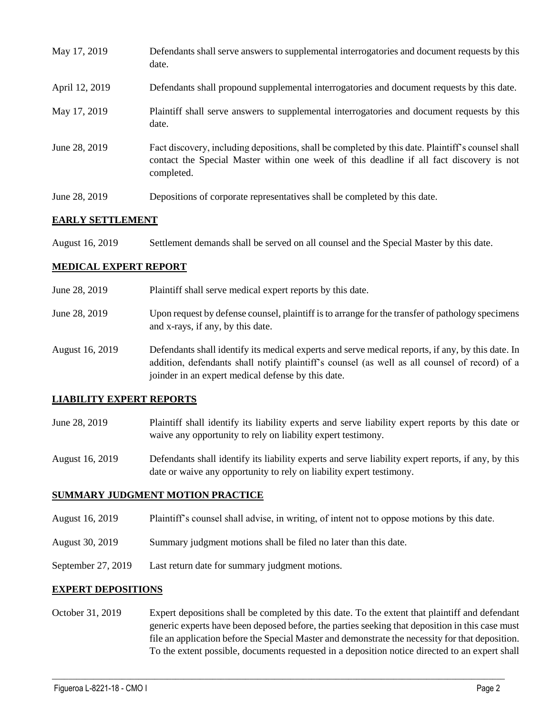| May 17, 2019   | Defendants shall serve answers to supplemental interrogatories and document requests by this<br>date.                                                                                                       |
|----------------|-------------------------------------------------------------------------------------------------------------------------------------------------------------------------------------------------------------|
| April 12, 2019 | Defendants shall propound supplemental interrogatories and document requests by this date.                                                                                                                  |
| May 17, 2019   | Plaintiff shall serve answers to supplemental interrogatories and document requests by this<br>date.                                                                                                        |
| June 28, 2019  | Fact discovery, including depositions, shall be completed by this date. Plaintiff's counsel shall<br>contact the Special Master within one week of this deadline if all fact discovery is not<br>completed. |
| June 28, 2019  | Depositions of corporate representatives shall be completed by this date.                                                                                                                                   |

### **EARLY SETTLEMENT**

| <b>August 16, 2019</b> | Settlement demands shall be served on all counsel and the Special Master by this date. |  |
|------------------------|----------------------------------------------------------------------------------------|--|
|------------------------|----------------------------------------------------------------------------------------|--|

### **MEDICAL EXPERT REPORT**

| June 28, 2019   | Plaintiff shall serve medical expert reports by this date.                                                                                                                                                                                               |
|-----------------|----------------------------------------------------------------------------------------------------------------------------------------------------------------------------------------------------------------------------------------------------------|
| June 28, 2019   | Upon request by defense counsel, plaintiff is to arrange for the transfer of pathology specimens<br>and x-rays, if any, by this date.                                                                                                                    |
| August 16, 2019 | Defendants shall identify its medical experts and serve medical reports, if any, by this date. In<br>addition, defendants shall notify plaintiff's counsel (as well as all counsel of record) of a<br>joinder in an expert medical defense by this date. |

#### **LIABILITY EXPERT REPORTS**

- June 28, 2019 Plaintiff shall identify its liability experts and serve liability expert reports by this date or waive any opportunity to rely on liability expert testimony.
- August 16, 2019 Defendants shall identify its liability experts and serve liability expert reports, if any, by this date or waive any opportunity to rely on liability expert testimony.

#### **SUMMARY JUDGMENT MOTION PRACTICE**

- August 16, 2019 Plaintiff's counsel shall advise, in writing, of intent not to oppose motions by this date.
- August 30, 2019 Summary judgment motions shall be filed no later than this date.
- September 27, 2019 Last return date for summary judgment motions.

#### **EXPERT DEPOSITIONS**

October 31, 2019 Expert depositions shall be completed by this date. To the extent that plaintiff and defendant generic experts have been deposed before, the parties seeking that deposition in this case must file an application before the Special Master and demonstrate the necessity for that deposition. To the extent possible, documents requested in a deposition notice directed to an expert shall

 $\_$  ,  $\_$  ,  $\_$  ,  $\_$  ,  $\_$  ,  $\_$  ,  $\_$  ,  $\_$  ,  $\_$  ,  $\_$  ,  $\_$  ,  $\_$  ,  $\_$  ,  $\_$  ,  $\_$  ,  $\_$  ,  $\_$  ,  $\_$  ,  $\_$  ,  $\_$  ,  $\_$  ,  $\_$  ,  $\_$  ,  $\_$  ,  $\_$  ,  $\_$  ,  $\_$  ,  $\_$  ,  $\_$  ,  $\_$  ,  $\_$  ,  $\_$  ,  $\_$  ,  $\_$  ,  $\_$  ,  $\_$  ,  $\_$  ,